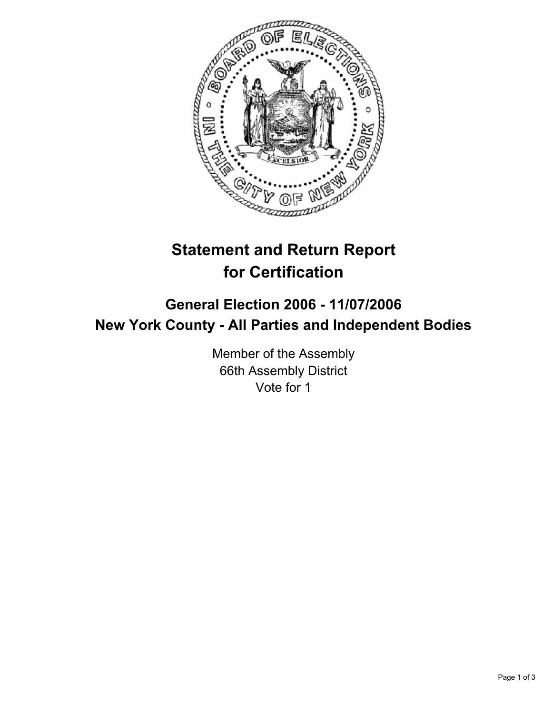

# **Statement and Return Report for Certification**

## **General Election 2006 - 11/07/2006 New York County - All Parties and Independent Bodies**

Member of the Assembly 66th Assembly District Vote for 1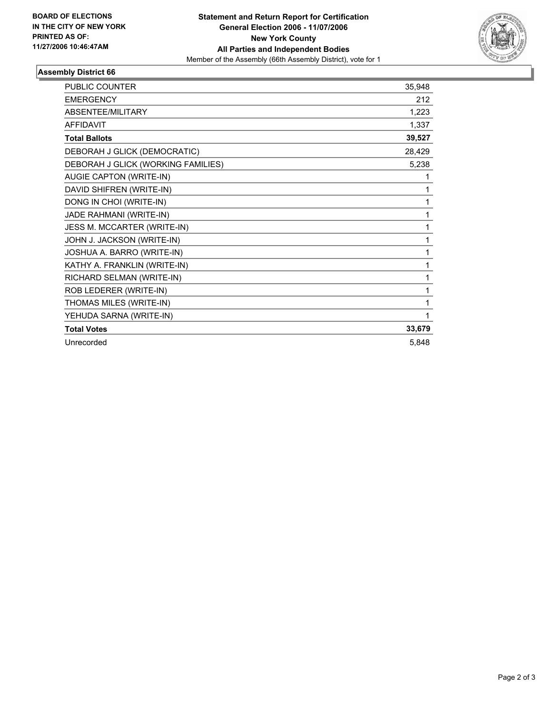

## **Assembly District 66**

| <b>PUBLIC COUNTER</b>              | 35,948 |
|------------------------------------|--------|
| <b>EMERGENCY</b>                   | 212    |
| ABSENTEE/MILITARY                  | 1,223  |
| <b>AFFIDAVIT</b>                   | 1,337  |
| <b>Total Ballots</b>               | 39,527 |
| DEBORAH J GLICK (DEMOCRATIC)       | 28,429 |
| DEBORAH J GLICK (WORKING FAMILIES) | 5,238  |
| AUGIE CAPTON (WRITE-IN)            |        |
| DAVID SHIFREN (WRITE-IN)           |        |
| DONG IN CHOI (WRITE-IN)            |        |
| JADE RAHMANI (WRITE-IN)            |        |
| JESS M. MCCARTER (WRITE-IN)        |        |
| JOHN J. JACKSON (WRITE-IN)         |        |
| JOSHUA A. BARRO (WRITE-IN)         |        |
| KATHY A. FRANKLIN (WRITE-IN)       |        |
| RICHARD SELMAN (WRITE-IN)          |        |
| ROB LEDERER (WRITE-IN)             |        |
| THOMAS MILES (WRITE-IN)            |        |
| YEHUDA SARNA (WRITE-IN)            |        |
| <b>Total Votes</b>                 | 33,679 |
| Unrecorded                         | 5,848  |